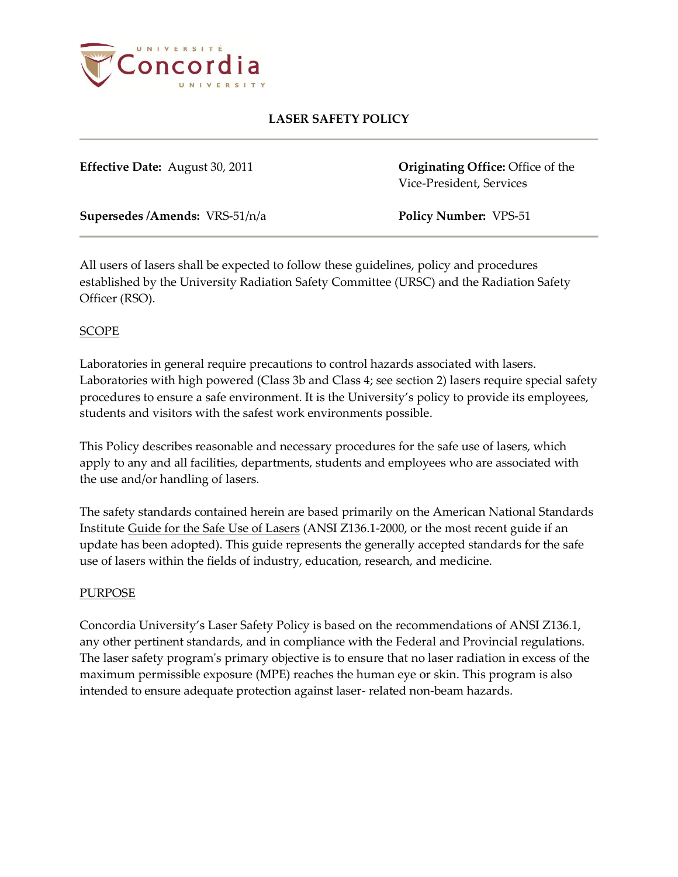

**Effective Date:** August 30, 2011 **Originating Office:** Office of the Vice-President, Services

**Supersedes /Amends:** VRS-51/n/a **Policy Number:** VPS-51

All users of lasers shall be expected to follow these guidelines, policy and procedures established by the University Radiation Safety Committee (URSC) and the Radiation Safety Officer (RSO).

## SCOPE

Laboratories in general require precautions to control hazards associated with lasers. Laboratories with high powered (Class 3b and Class 4; see section 2) lasers require special safety procedures to ensure a safe environment. It is the University's policy to provide its employees, students and visitors with the safest work environments possible.

This Policy describes reasonable and necessary procedures for the safe use of lasers, which apply to any and all facilities, departments, students and employees who are associated with the use and/or handling of lasers.

The safety standards contained herein are based primarily on the American National Standards Institute Guide for the Safe Use of Lasers (ANSI Z136.1-2000, or the most recent guide if an update has been adopted). This guide represents the generally accepted standards for the safe use of lasers within the fields of industry, education, research, and medicine.

## PURPOSE

Concordia University's Laser Safety Policy is based on the recommendations of ANSI Z136.1, any other pertinent standards, and in compliance with the Federal and Provincial regulations. The laser safety program's primary objective is to ensure that no laser radiation in excess of the maximum permissible exposure (MPE) reaches the human eye or skin. This program is also intended to ensure adequate protection against laser- related non-beam hazards.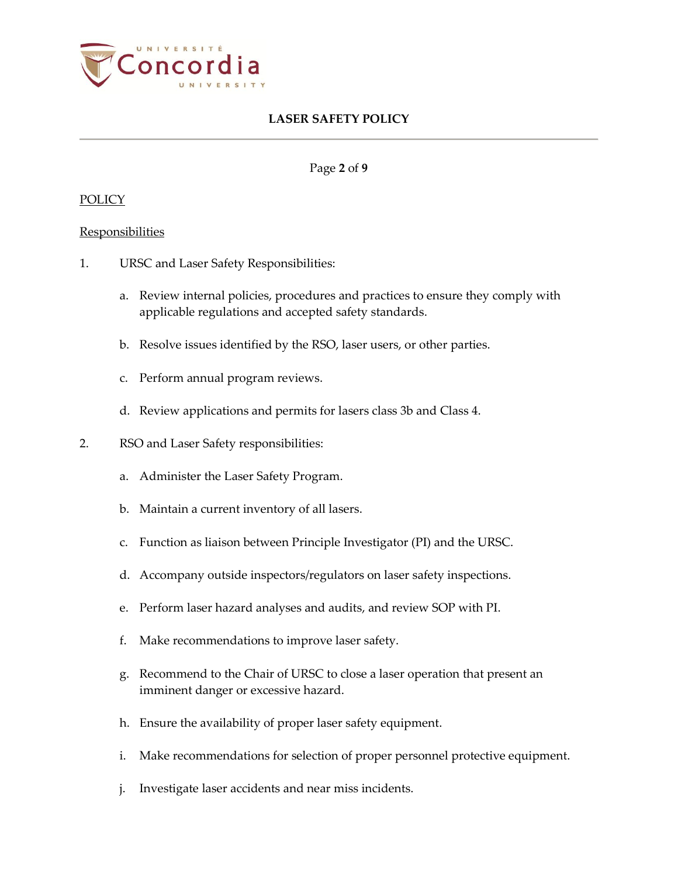

Page **2** of **9**

#### POLICY

#### **Responsibilities**

- 1. URSC and Laser Safety Responsibilities:
	- a. Review internal policies, procedures and practices to ensure they comply with applicable regulations and accepted safety standards.
	- b. Resolve issues identified by the RSO, laser users, or other parties.
	- c. Perform annual program reviews.
	- d. Review applications and permits for lasers class 3b and Class 4.
- 2. RSO and Laser Safety responsibilities:
	- a. Administer the Laser Safety Program.
	- b. Maintain a current inventory of all lasers.
	- c. Function as liaison between Principle Investigator (PI) and the URSC.
	- d. Accompany outside inspectors/regulators on laser safety inspections.
	- e. Perform laser hazard analyses and audits, and review SOP with PI.
	- f. Make recommendations to improve laser safety.
	- g. Recommend to the Chair of URSC to close a laser operation that present an imminent danger or excessive hazard.
	- h. Ensure the availability of proper laser safety equipment.
	- i. Make recommendations for selection of proper personnel protective equipment.
	- j. Investigate laser accidents and near miss incidents.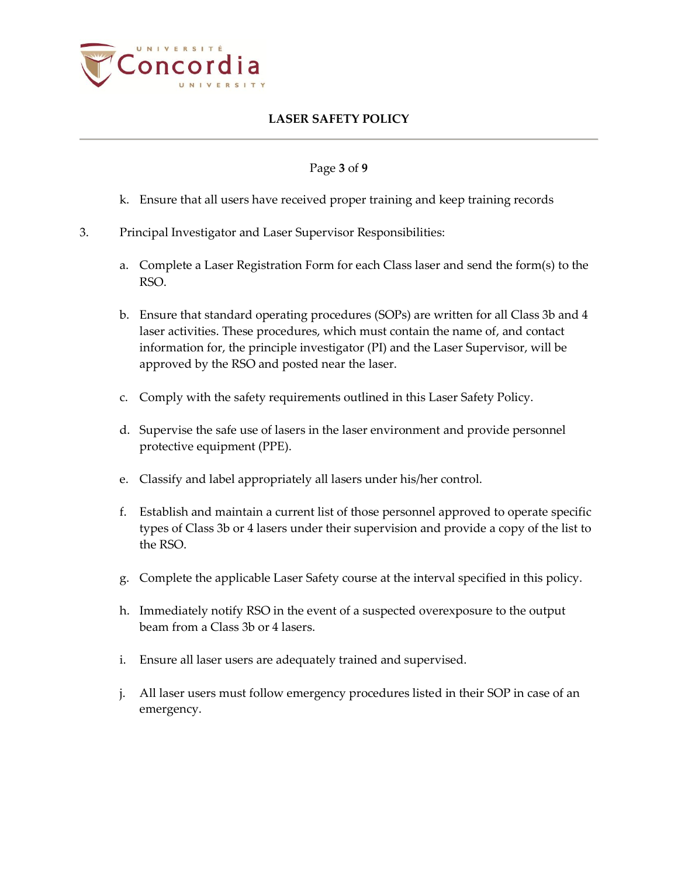

## Page **3** of **9**

- k. Ensure that all users have received proper training and keep training records
- 3. Principal Investigator and Laser Supervisor Responsibilities:
	- a. Complete a Laser Registration Form for each Class laser and send the form(s) to the RSO.
	- b. Ensure that standard operating procedures (SOPs) are written for all Class 3b and 4 laser activities. These procedures, which must contain the name of, and contact information for, the principle investigator (PI) and the Laser Supervisor, will be approved by the RSO and posted near the laser.
	- c. Comply with the safety requirements outlined in this Laser Safety Policy.
	- d. Supervise the safe use of lasers in the laser environment and provide personnel protective equipment (PPE).
	- e. Classify and label appropriately all lasers under his/her control.
	- f. Establish and maintain a current list of those personnel approved to operate specific types of Class 3b or 4 lasers under their supervision and provide a copy of the list to the RSO.
	- g. Complete the applicable Laser Safety course at the interval specified in this policy.
	- h. Immediately notify RSO in the event of a suspected overexposure to the output beam from a Class 3b or 4 lasers.
	- i. Ensure all laser users are adequately trained and supervised.
	- j. All laser users must follow emergency procedures listed in their SOP in case of an emergency.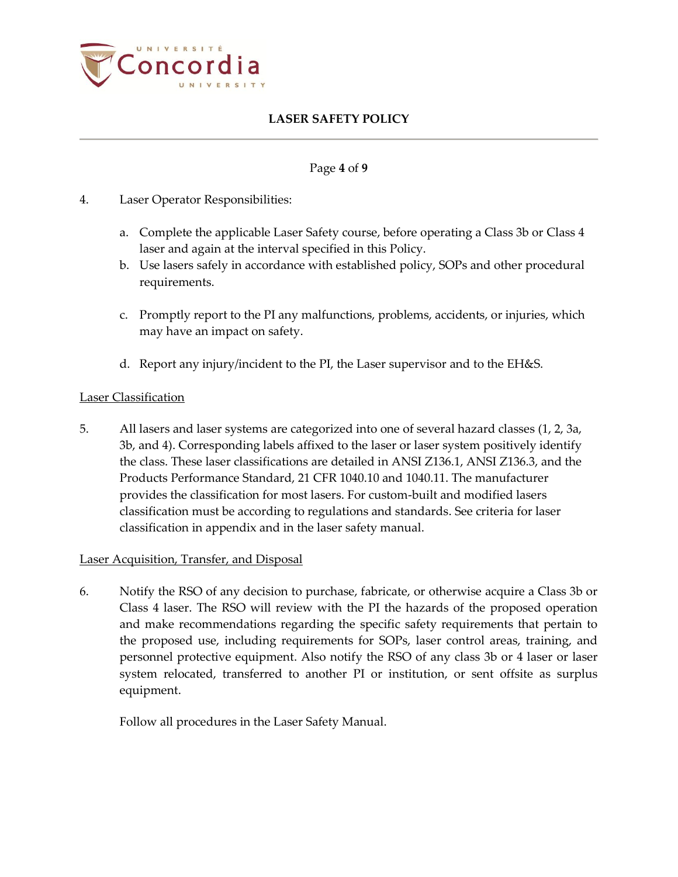

## Page **4** of **9**

- 4. Laser Operator Responsibilities:
	- a. Complete the applicable Laser Safety course, before operating a Class 3b or Class 4 laser and again at the interval specified in this Policy.
	- b. Use lasers safely in accordance with established policy, SOPs and other procedural requirements.
	- c. Promptly report to the PI any malfunctions, problems, accidents, or injuries, which may have an impact on safety.
	- d. Report any injury/incident to the PI, the Laser supervisor and to the EH&S.

## Laser Classification

5. All lasers and laser systems are categorized into one of several hazard classes (1, 2, 3a, 3b, and 4). Corresponding labels affixed to the laser or laser system positively identify the class. These laser classifications are detailed in ANSI Z136.1, ANSI Z136.3, and the Products Performance Standard, 21 CFR 1040.10 and 1040.11. The manufacturer provides the classification for most lasers. For custom-built and modified lasers classification must be according to regulations and standards. See criteria for laser classification in appendix and in the laser safety manual.

## Laser Acquisition, Transfer, and Disposal

6. Notify the RSO of any decision to purchase, fabricate, or otherwise acquire a Class 3b or Class 4 laser. The RSO will review with the PI the hazards of the proposed operation and make recommendations regarding the specific safety requirements that pertain to the proposed use, including requirements for SOPs, laser control areas, training, and personnel protective equipment. Also notify the RSO of any class 3b or 4 laser or laser system relocated, transferred to another PI or institution, or sent offsite as surplus equipment.

Follow all procedures in the Laser Safety Manual.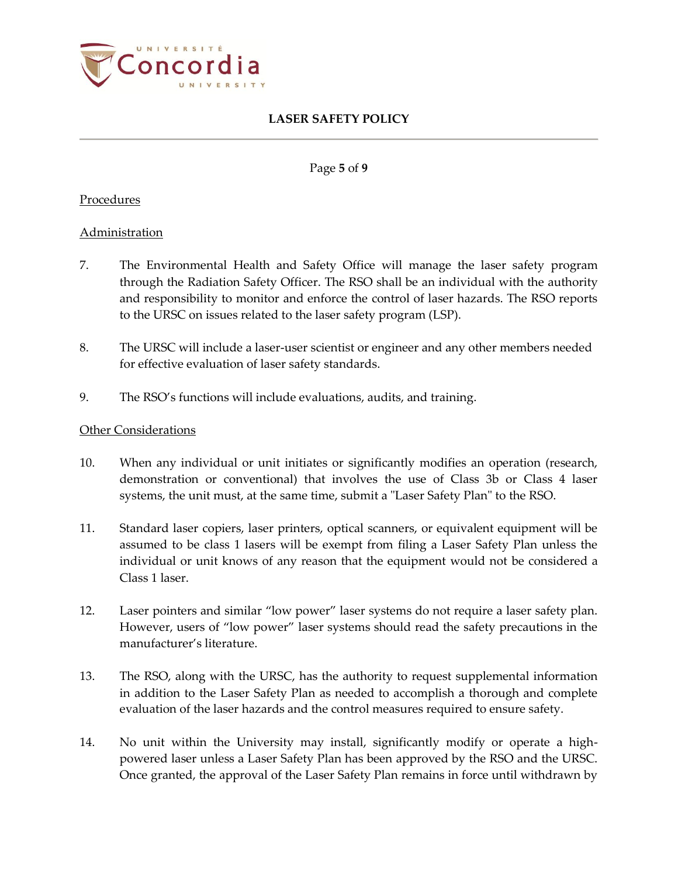

Page **5** of **9**

### Procedures

#### Administration

- 7. The Environmental Health and Safety Office will manage the laser safety program through the Radiation Safety Officer. The RSO shall be an individual with the authority and responsibility to monitor and enforce the control of laser hazards. The RSO reports to the URSC on issues related to the laser safety program (LSP).
- 8. The URSC will include a laser-user scientist or engineer and any other members needed for effective evaluation of laser safety standards.
- 9. The RSO's functions will include evaluations, audits, and training.

#### Other Considerations

- 10. When any individual or unit initiates or significantly modifies an operation (research, demonstration or conventional) that involves the use of Class 3b or Class 4 laser systems, the unit must, at the same time, submit a "Laser Safety Plan" to the RSO.
- 11. Standard laser copiers, laser printers, optical scanners, or equivalent equipment will be assumed to be class 1 lasers will be exempt from filing a Laser Safety Plan unless the individual or unit knows of any reason that the equipment would not be considered a Class 1 laser.
- 12. Laser pointers and similar "low power" laser systems do not require a laser safety plan. However, users of "low power" laser systems should read the safety precautions in the manufacturer's literature.
- 13. The RSO, along with the URSC, has the authority to request supplemental information in addition to the Laser Safety Plan as needed to accomplish a thorough and complete evaluation of the laser hazards and the control measures required to ensure safety.
- 14. No unit within the University may install, significantly modify or operate a highpowered laser unless a Laser Safety Plan has been approved by the RSO and the URSC. Once granted, the approval of the Laser Safety Plan remains in force until withdrawn by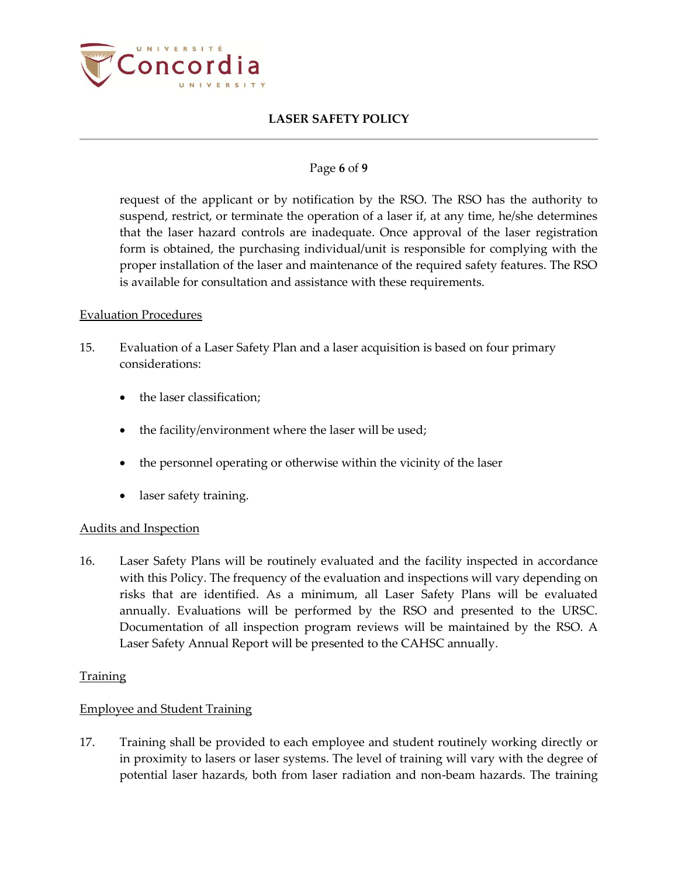

## Page **6** of **9**

request of the applicant or by notification by the RSO. The RSO has the authority to suspend, restrict, or terminate the operation of a laser if, at any time, he/she determines that the laser hazard controls are inadequate. Once approval of the laser registration form is obtained, the purchasing individual/unit is responsible for complying with the proper installation of the laser and maintenance of the required safety features. The RSO is available for consultation and assistance with these requirements.

#### Evaluation Procedures

- 15. Evaluation of a Laser Safety Plan and a laser acquisition is based on four primary considerations:
	- the laser classification;
	- the facility/environment where the laser will be used;
	- the personnel operating or otherwise within the vicinity of the laser
	- laser safety training.

## Audits and Inspection

16. Laser Safety Plans will be routinely evaluated and the facility inspected in accordance with this Policy. The frequency of the evaluation and inspections will vary depending on risks that are identified. As a minimum, all Laser Safety Plans will be evaluated annually. Evaluations will be performed by the RSO and presented to the URSC. Documentation of all inspection program reviews will be maintained by the RSO. A Laser Safety Annual Report will be presented to the CAHSC annually.

## **Training**

## Employee and Student Training

17. Training shall be provided to each employee and student routinely working directly or in proximity to lasers or laser systems. The level of training will vary with the degree of potential laser hazards, both from laser radiation and non-beam hazards. The training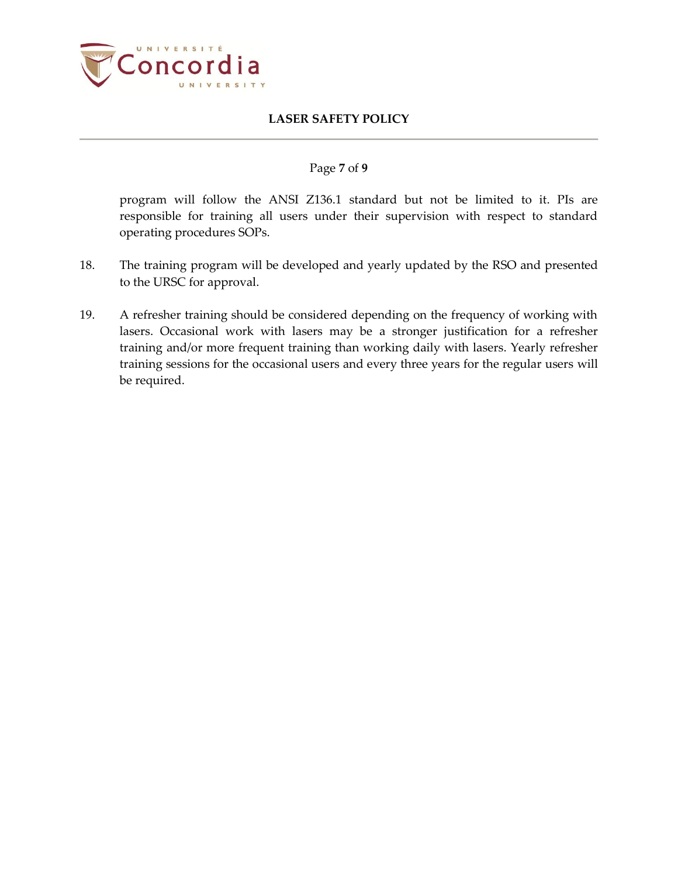

## Page **7** of **9**

program will follow the ANSI Z136.1 standard but not be limited to it. PIs are responsible for training all users under their supervision with respect to standard operating procedures SOPs.

- 18. The training program will be developed and yearly updated by the RSO and presented to the URSC for approval.
- 19. A refresher training should be considered depending on the frequency of working with lasers. Occasional work with lasers may be a stronger justification for a refresher training and/or more frequent training than working daily with lasers. Yearly refresher training sessions for the occasional users and every three years for the regular users will be required.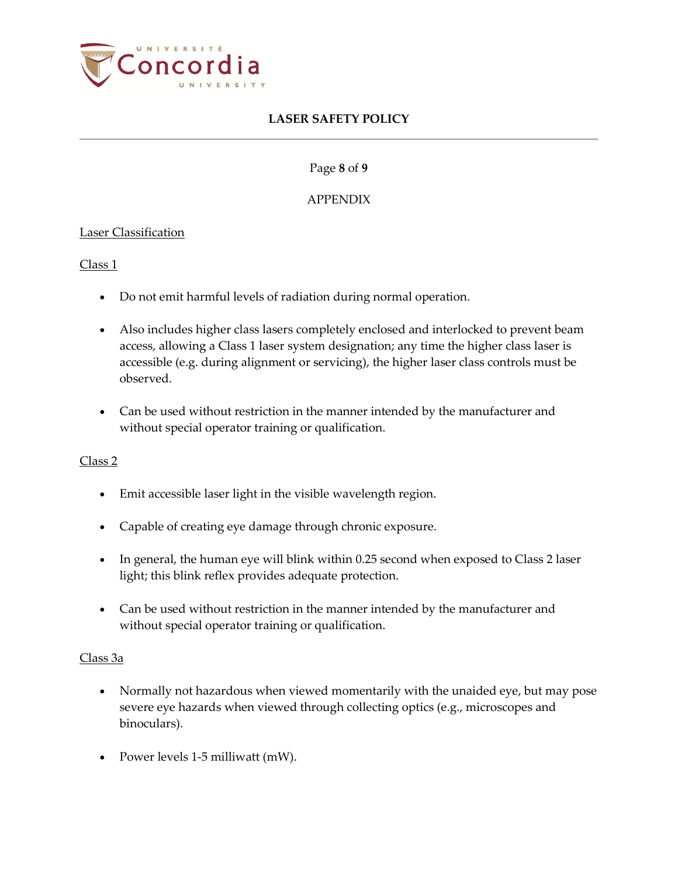

Page **8** of **9**

## APPENDIX

## Laser Classification

Class 1

- Do not emit harmful levels of radiation during normal operation.
- Also includes higher class lasers completely enclosed and interlocked to prevent beam access, allowing a Class 1 laser system designation; any time the higher class laser is accessible (e.g. during alignment or servicing), the higher laser class controls must be observed.
- Can be used without restriction in the manner intended by the manufacturer and without special operator training or qualification.

## Class 2

- Emit accessible laser light in the visible wavelength region.
- Capable of creating eye damage through chronic exposure.
- In general, the human eye will blink within 0.25 second when exposed to Class 2 laser light; this blink reflex provides adequate protection.
- Can be used without restriction in the manner intended by the manufacturer and without special operator training or qualification.

## Class 3a

- Normally not hazardous when viewed momentarily with the unaided eye, but may pose severe eye hazards when viewed through collecting optics (e.g., microscopes and binoculars).
- Power levels 1-5 milliwatt (mW).